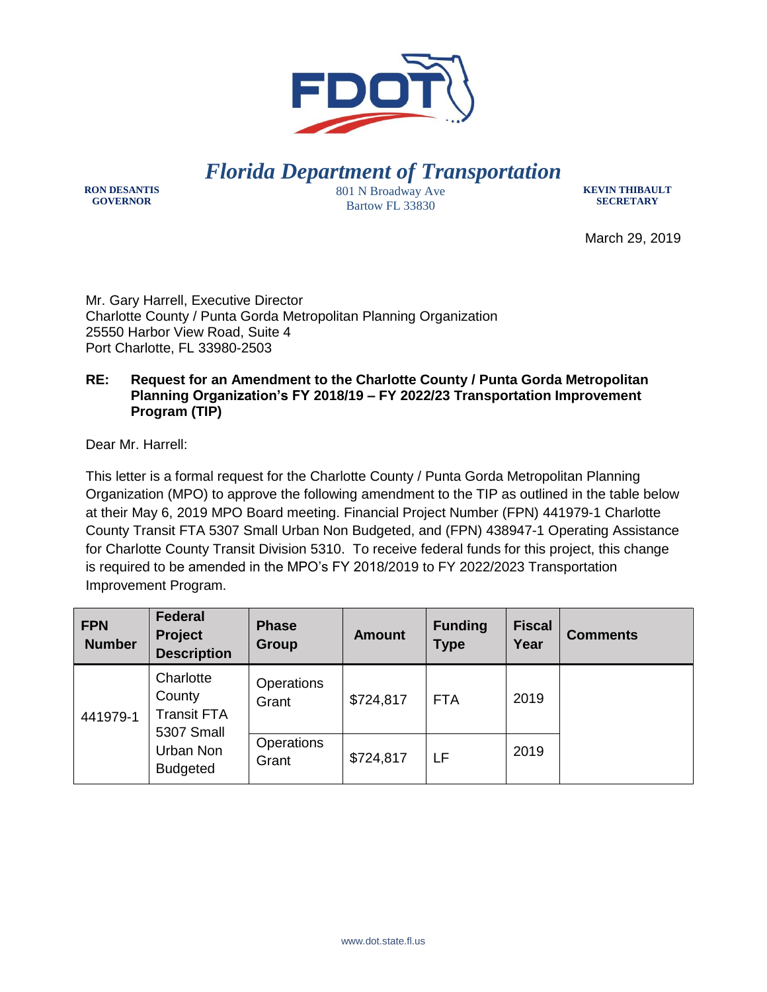

*Florida Department of Transportation*

**RON DESANTIS GOVERNOR**

801 N Broadway Ave Bartow FL 33830

**KEVIN THIBAULT SECRETARY**

March 29, 2019

Mr. Gary Harrell, Executive Director Charlotte County / Punta Gorda Metropolitan Planning Organization 25550 Harbor View Road, Suite 4 Port Charlotte, FL 33980-2503

## **RE: Request for an Amendment to the Charlotte County / Punta Gorda Metropolitan Planning Organization's FY 2018/19 – FY 2022/23 Transportation Improvement Program (TIP)**

Dear Mr. Harrell:

This letter is a formal request for the Charlotte County / Punta Gorda Metropolitan Planning Organization (MPO) to approve the following amendment to the TIP as outlined in the table below at their May 6, 2019 MPO Board meeting. Financial Project Number (FPN) 441979-1 Charlotte County Transit FTA 5307 Small Urban Non Budgeted, and (FPN) 438947-1 Operating Assistance for Charlotte County Transit Division 5310. To receive federal funds for this project, this change is required to be amended in the MPO's FY 2018/2019 to FY 2022/2023 Transportation Improvement Program.

| <b>FPN</b><br><b>Number</b> | <b>Federal</b><br><b>Project</b><br><b>Description</b>                                  | <b>Phase</b><br>Group      | <b>Amount</b> | <b>Funding</b><br><b>Type</b> | <b>Fiscal</b><br>Year | <b>Comments</b> |
|-----------------------------|-----------------------------------------------------------------------------------------|----------------------------|---------------|-------------------------------|-----------------------|-----------------|
| 441979-1                    | Charlotte<br>County<br><b>Transit FTA</b><br>5307 Small<br>Urban Non<br><b>Budgeted</b> | <b>Operations</b><br>Grant | \$724,817     | <b>FTA</b>                    | 2019                  |                 |
|                             |                                                                                         | Operations<br>Grant        | \$724,817     | LF                            | 2019                  |                 |